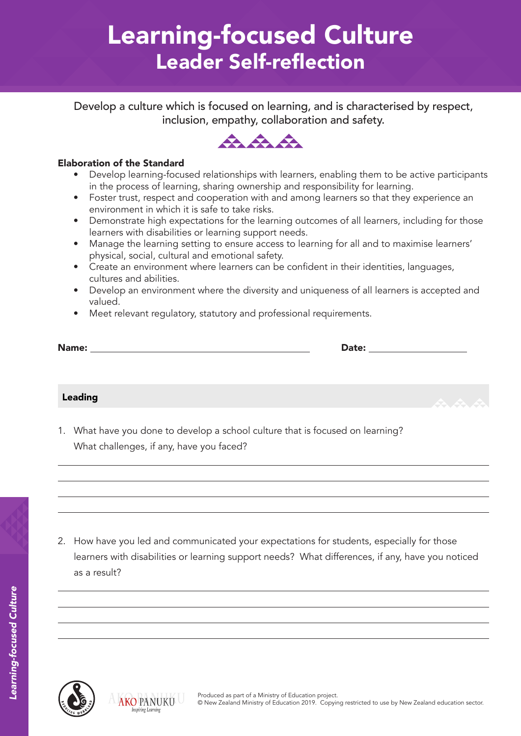# Learning-focused Culture Leader Self-reflection

Develop a culture which is focused on learning, and is characterised by respect, inclusion, empathy, collaboration and safety.



### Elaboration of the Standard

- Develop learning-focused relationships with learners, enabling them to be active participants in the process of learning, sharing ownership and responsibility for learning.
- Foster trust, respect and cooperation with and among learners so that they experience an environment in which it is safe to take risks.
- Demonstrate high expectations for the learning outcomes of all learners, including for those learners with disabilities or learning support needs.
- Manage the learning setting to ensure access to learning for all and to maximise learners' physical, social, cultural and emotional safety.
- Create an environment where learners can be confident in their identities, languages, cultures and abilities.
- Develop an environment where the diversity and uniqueness of all learners is accepted and valued.
- Meet relevant regulatory, statutory and professional requirements.

| Name: | <b>Date:</b> |
|-------|--------------|
|       |              |

### Leading

1. What have you done to develop a school culture that is focused on learning? What challenges, if any, have you faced?

2. How have you led and communicated your expectations for students, especially for those learners with disabilities or learning support needs? What differences, if any, have you noticed as a result?



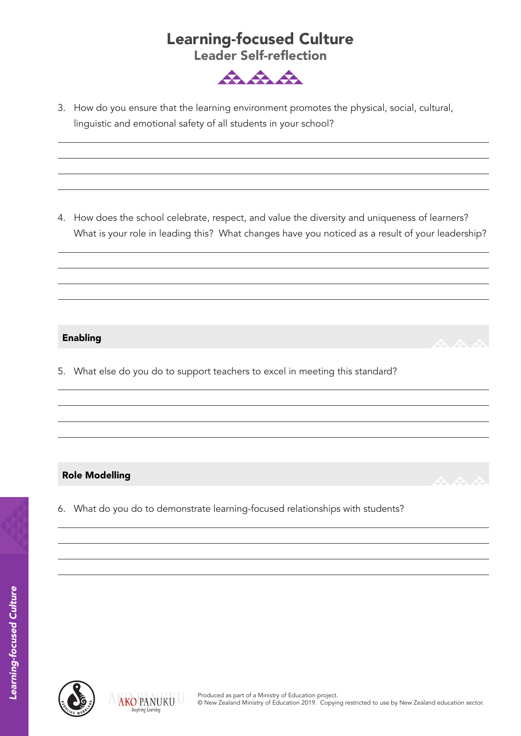### Learning-focused Culture Leader Self-reflection



3. How do you ensure that the learning environment promotes the physical, social, cultural, linguistic and emotional safety of all students in your school?

4. How does the school celebrate, respect, and value the diversity and uniqueness of learners? What is your role in leading this? What changes have you noticed as a result of your leadership?

### Enabling

5. What else do you do to support teachers to excel in meeting this standard?

### Role Modelling

6. What do you do to demonstrate learning-focused relationships with students?



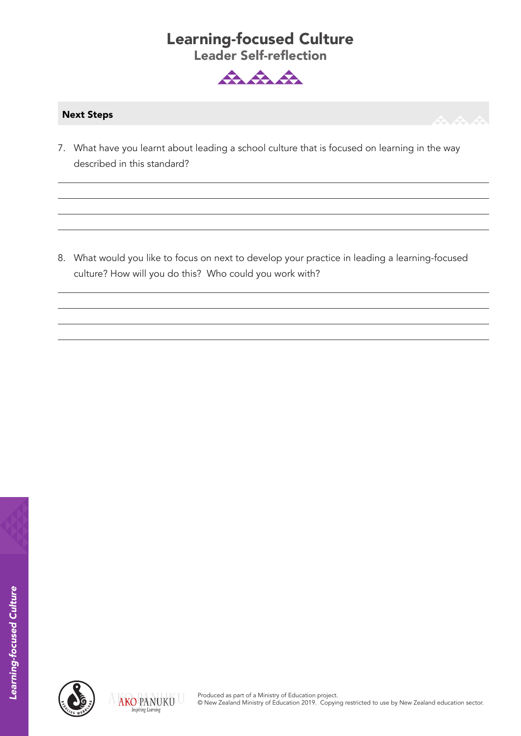## Learning-focused Culture Leader Self-reflection



### Next Steps

7. What have you learnt about leading a school culture that is focused on learning in the way described in this standard?

8. What would you like to focus on next to develop your practice in leading a learning-focused culture? How will you do this? Who could you work with?



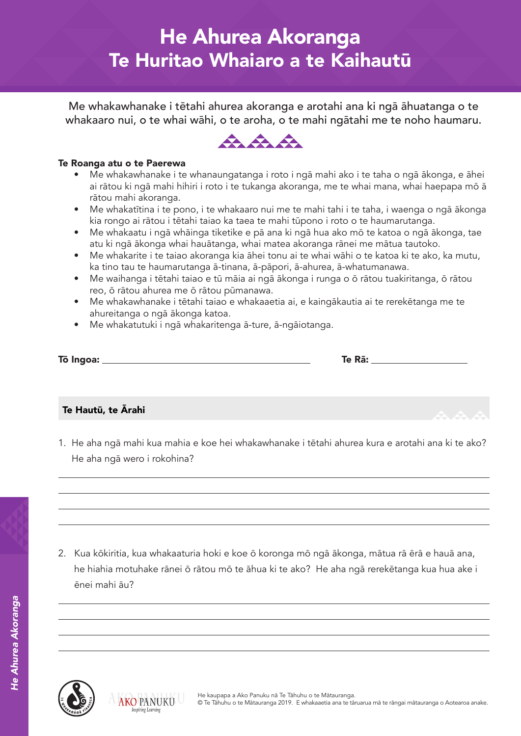## He Ahurea Akoranga Te Huritao Whaiaro a te Kaihautū

Me whakawhanake i tētahi ahurea akoranga e arotahi ana ki ngā āhuatanga o te whakaaro nui, o te whai wāhi, o te aroha, o te mahi ngātahi me te noho haumaru.



#### Te Roanga atu o te Paerewa

- Me whakawhanake i te whanaungatanga i roto i ngā mahi ako i te taha o ngā ākonga, e āhei ai rātou ki ngā mahi hihiri i roto i te tukanga akoranga, me te whai mana, whai haepapa mō ā rātou mahi akoranga.
- Me whakatītina i te pono, i te whakaaro nui me te mahi tahi i te taha, i waenga o ngā ākonga kia rongo ai rātou i tētahi taiao ka taea te mahi tūpono i roto o te haumarutanga.
- Me whakaatu i ngā whāinga tiketike e pā ana ki ngā hua ako mō te katoa o ngā ākonga, tae atu ki ngā ākonga whai hauātanga, whai matea akoranga rānei me mātua tautoko.
- Me whakarite i te taiao akoranga kia āhei tonu ai te whai wāhi o te katoa ki te ako, ka mutu, ka tino tau te haumarutanga ā-tinana, ā-pāpori, ā-ahurea, ā-whatumanawa.
- Me waihanga i tētahi taiao e tū māia ai ngā ākonga i runga o ō rātou tuakiritanga, ō rātou reo, ō rātou ahurea me ō rātou pūmanawa.
- Me whakawhanake i tētahi taiao e whakaaetia ai, e kaingākautia ai te rerekētanga me te ahureitanga o ngā ākonga katoa.
- Me whakatutuki i ngā whakaritenga ā-ture, ā-ngāiotanga.

| Tō Ingoa: | Te Rā: |
|-----------|--------|
|           |        |

### Te Hautū, te Ārahi

1. He aha ngā mahi kua mahia e koe hei whakawhanake i tētahi ahurea kura e arotahi ana ki te ako? He aha ngā wero i rokohina?

2. Kua kōkiritia, kua whakaaturia hoki e koe ō koronga mō ngā ākonga, mātua rā ērā e hauā ana, he hiahia motuhake rānei ō rātou mō te āhua ki te ako? He aha ngā rerekētanga kua hua ake i ēnei mahi āu?



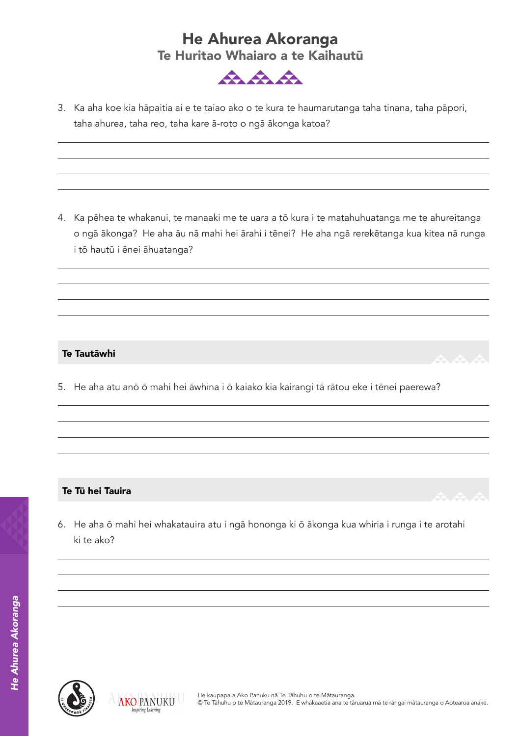## He Ahurea Akoranga Te Huritao Whaiaro a te Kaihautū



3. Ka aha koe kia hāpaitia ai e te taiao ako o te kura te haumarutanga taha tinana, taha pāpori, taha ahurea, taha reo, taha kare ā-roto o ngā ākonga katoa?

4. Ka pēhea te whakanui, te manaaki me te uara a tō kura i te matahuhuatanga me te ahureitanga o ngā ākonga? He aha āu nā mahi hei ārahi i tēnei? He aha ngā rerekētanga kua kitea nā runga i tō hautū i ēnei āhuatanga?

### Te Tautāwhi

5. He aha atu anō ō mahi hei āwhina i ō kaiako kia kairangi tā rātou eke i tēnei paerewa?

### Te Tū hei Tauira

6. He aha ō mahi hei whakatauira atu i ngā hononga ki ō ākonga kua whiria i runga i te arotahi ki te ako?